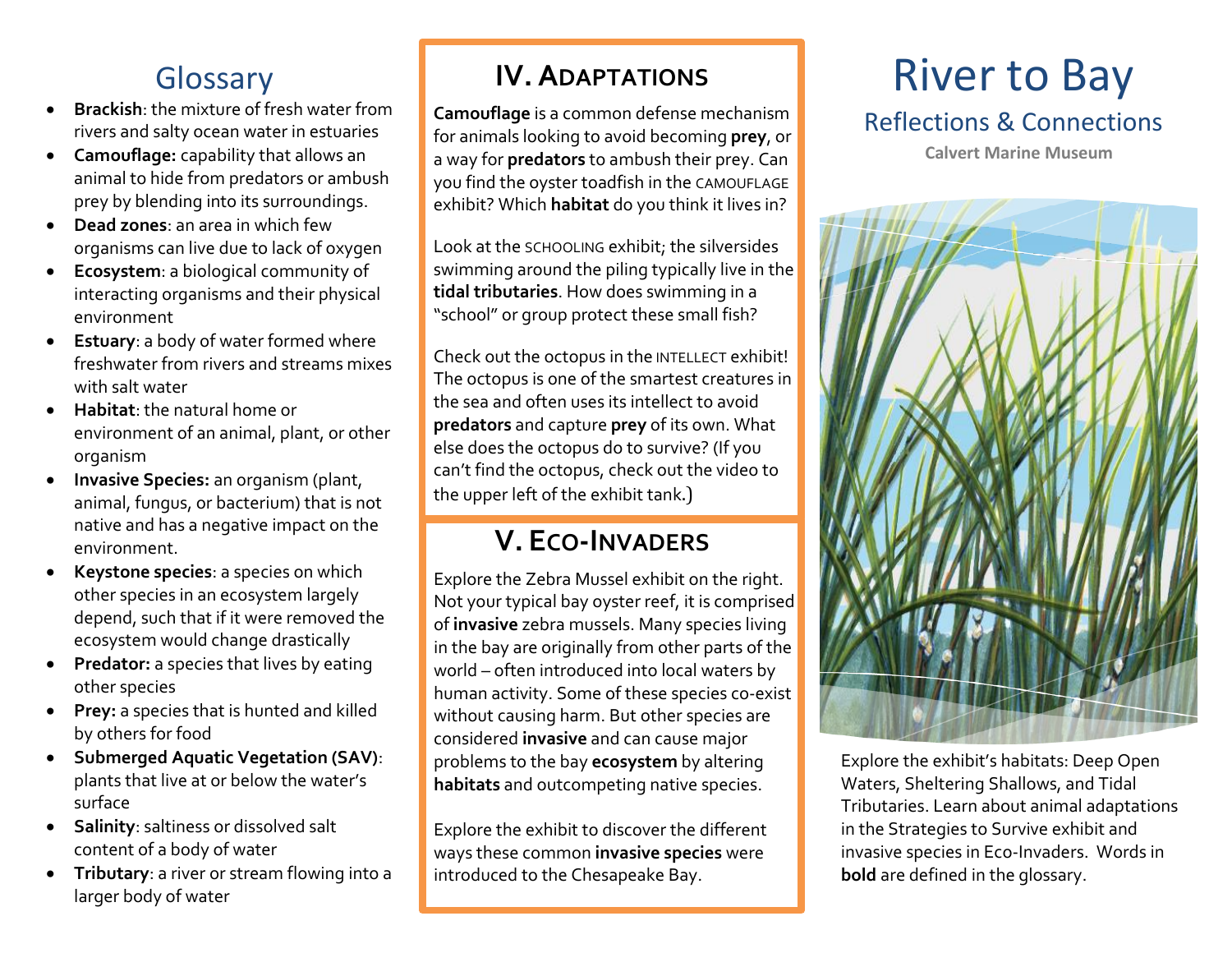# **Glossary**

- **Brackish**: the mixture of fresh water from rivers and salty ocean water in estuaries
- **Camouflage:** capability that allows an animal to hide from predators or ambush prey by blending into its surroundings.
- **Dead zones**: an area in which few organisms can live due to lack of oxygen
- **Ecosystem**: a biological community of interacting organisms and their physical environment
- **Estuary**: a body of water formed where freshwater from rivers and streams mixes with salt water
- **Habitat**: the natural home or environment of an animal, plant, or other organism
- **Invasive Species:** an organism (plant, animal, fungus, or bacterium) that is not native and has a negative impact on the environment.
- **Keystone species**: a species on which other species in an ecosystem largely depend, such that if it were removed the ecosystem would change drastically
- **Predator:** a species that lives by eating other species
- **Prey:** a species that is hunted and killed by others for food
- **Submerged Aquatic Vegetation (SAV)**: plants that live at or below the water's surface
- **Salinity**: saltiness or dissolved salt content of a body of water
- **Tributary**: a river or stream flowing into a larger body of water

# **IV. ADAPTATIONS**

**Camouflage** is a common defense mechanism for animals looking to avoid becoming **prey**, or a way for **predators** to ambush their prey. Can you find the oyster toadfish in the CAMOUFLAGE exhibit? Which **habitat** do you think it lives in?

Look at the SCHOOLING exhibit; the silversides swimming around the piling typically live in the **tidal tributaries**. How does swimming in a "school" or group protect these small fish?

Check out the octopus in the INTELLECT exhibit! The octopus is one of the smartest creatures in the sea and often uses its intellect to avoid **predators** and capture **prey** of its own. What else does the octopus do to survive? (If you can't find the octopus, check out the video to the upper left of the exhibit tank.)

# **V. ECO-INVADERS**

Explore the Zebra Mussel exhibit on the right. Not your typical bay oyster reef, it is comprised of **invasive** zebra mussels. Many species living in the bay are originally from other parts of the world – often introduced into local waters by human activity. Some of these species co-exist without causing harm. But other species are considered **invasive** and can cause major problems to the bay **ecosystem** by altering **habitats** and outcompeting native species.

Explore the exhibit to discover the different ways these common **invasive species** were introduced to the Chesapeake Bay.

# River to Bay Reflections & Connections

**Calvert Marine Museum**



Explore the exhibit's habitats: Deep Open Waters, Sheltering Shallows, and Tidal Tributaries. Learn about animal adaptations in the Strategies to Survive exhibit and invasive species in Eco-Invaders. Words in **bold** are defined in the glossary.